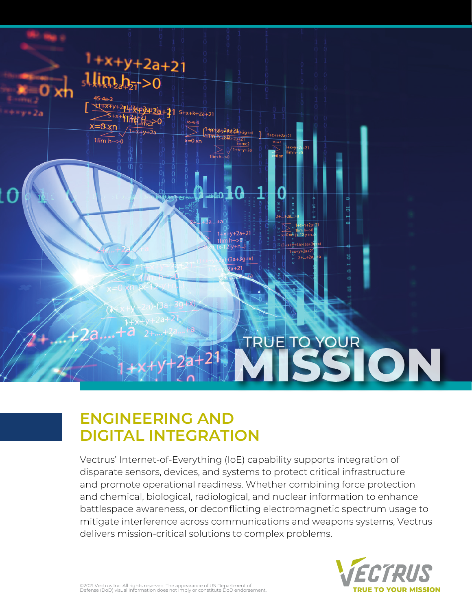

## **ENGINEERING AND DIGITAL INTEGRATION**

Vectrus' Internet-of-Everything (IoE) capability supports integration of disparate sensors, devices, and systems to protect critical infrastructure and promote operational readiness. Whether combining force protection and chemical, biological, radiological, and nuclear information to enhance battlespace awareness, or deconflicting electromagnetic spectrum usage to mitigate interference across communications and weapons systems, Vectrus delivers mission-critical solutions to complex problems.



©2021 Vectrus Inc. All rights reserved. The appearance of US Department of Defense (DoD) visual information does not imply or constitute DoD endorsement.